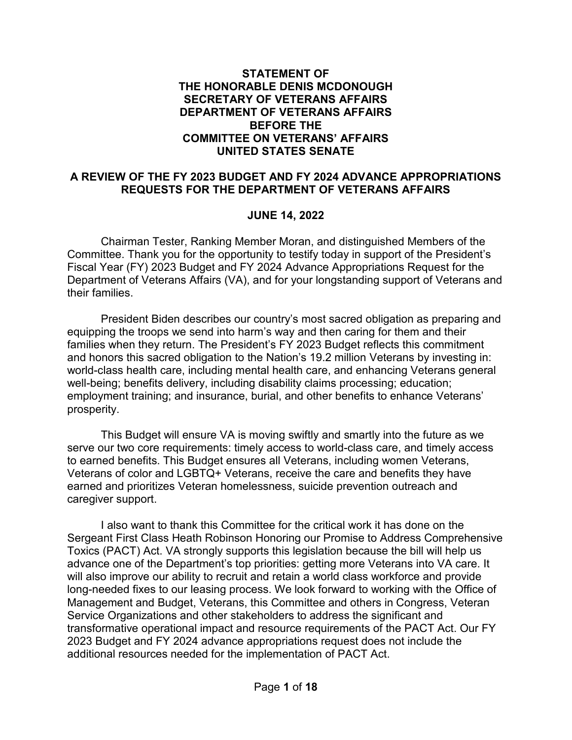#### **STATEMENT OF THE HONORABLE DENIS MCDONOUGH SECRETARY OF VETERANS AFFAIRS DEPARTMENT OF VETERANS AFFAIRS BEFORE THE COMMITTEE ON VETERANS' AFFAIRS UNITED STATES SENATE**

### **A REVIEW OF THE FY 2023 BUDGET AND FY 2024 ADVANCE APPROPRIATIONS REQUESTS FOR THE DEPARTMENT OF VETERANS AFFAIRS**

### **JUNE 14, 2022**

Chairman Tester, Ranking Member Moran, and distinguished Members of the Committee. Thank you for the opportunity to testify today in support of the President's Fiscal Year (FY) 2023 Budget and FY 2024 Advance Appropriations Request for the Department of Veterans Affairs (VA), and for your longstanding support of Veterans and their families.

President Biden describes our country's most sacred obligation as preparing and equipping the troops we send into harm's way and then caring for them and their families when they return. The President's FY 2023 Budget reflects this commitment and honors this sacred obligation to the Nation's 19.2 million Veterans by investing in: world-class health care, including mental health care, and enhancing Veterans general well-being; benefits delivery, including disability claims processing; education; employment training; and insurance, burial, and other benefits to enhance Veterans' prosperity.

This Budget will ensure VA is moving swiftly and smartly into the future as we serve our two core requirements: timely access to world-class care, and timely access to earned benefits. This Budget ensures all Veterans, including women Veterans, Veterans of color and LGBTQ+ Veterans, receive the care and benefits they have earned and prioritizes Veteran homelessness, suicide prevention outreach and caregiver support.

I also want to thank this Committee for the critical work it has done on the Sergeant First Class Heath Robinson Honoring our Promise to Address Comprehensive Toxics (PACT) Act. VA strongly supports this legislation because the bill will help us advance one of the Department's top priorities: getting more Veterans into VA care. It will also improve our ability to recruit and retain a world class workforce and provide long-needed fixes to our leasing process. We look forward to working with the Office of Management and Budget, Veterans, this Committee and others in Congress, Veteran Service Organizations and other stakeholders to address the significant and transformative operational impact and resource requirements of the PACT Act. Our FY 2023 Budget and FY 2024 advance appropriations request does not include the additional resources needed for the implementation of PACT Act.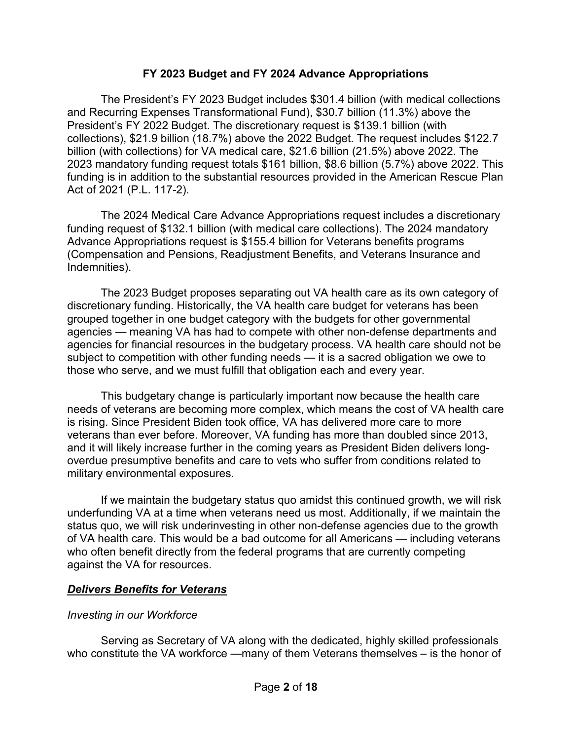### **FY 2023 Budget and FY 2024 Advance Appropriations**

The President's FY 2023 Budget includes \$301.4 billion (with medical collections and Recurring Expenses Transformational Fund), \$30.7 billion (11.3%) above the President's FY 2022 Budget. The discretionary request is \$139.1 billion (with collections), \$21.9 billion (18.7%) above the 2022 Budget. The request includes \$122.7 billion (with collections) for VA medical care, \$21.6 billion (21.5%) above 2022. The 2023 mandatory funding request totals \$161 billion, \$8.6 billion (5.7%) above 2022. This funding is in addition to the substantial resources provided in the American Rescue Plan Act of 2021 (P.L. 117-2).

The 2024 Medical Care Advance Appropriations request includes a discretionary funding request of \$132.1 billion (with medical care collections). The 2024 mandatory Advance Appropriations request is \$155.4 billion for Veterans benefits programs (Compensation and Pensions, Readjustment Benefits, and Veterans Insurance and Indemnities).

The 2023 Budget proposes separating out VA health care as its own category of discretionary funding. Historically, the VA health care budget for veterans has been grouped together in one budget category with the budgets for other governmental agencies — meaning VA has had to compete with other non-defense departments and agencies for financial resources in the budgetary process. VA health care should not be subject to competition with other funding needs — it is a sacred obligation we owe to those who serve, and we must fulfill that obligation each and every year.

This budgetary change is particularly important now because the health care needs of veterans are becoming more complex, which means the cost of VA health care is rising. Since President Biden took office, VA has delivered more care to more veterans than ever before. Moreover, VA funding has more than doubled since 2013, and it will likely increase further in the coming years as President Biden delivers longoverdue presumptive benefits and care to vets who suffer from conditions related to military environmental exposures.

If we maintain the budgetary status quo amidst this continued growth, we will risk underfunding VA at a time when veterans need us most. Additionally, if we maintain the status quo, we will risk underinvesting in other non-defense agencies due to the growth of VA health care. This would be a bad outcome for all Americans — including veterans who often benefit directly from the federal programs that are currently competing against the VA for resources.

## *Delivers Benefits for Veterans*

## *Investing in our Workforce*

Serving as Secretary of VA along with the dedicated, highly skilled professionals who constitute the VA workforce —many of them Veterans themselves – is the honor of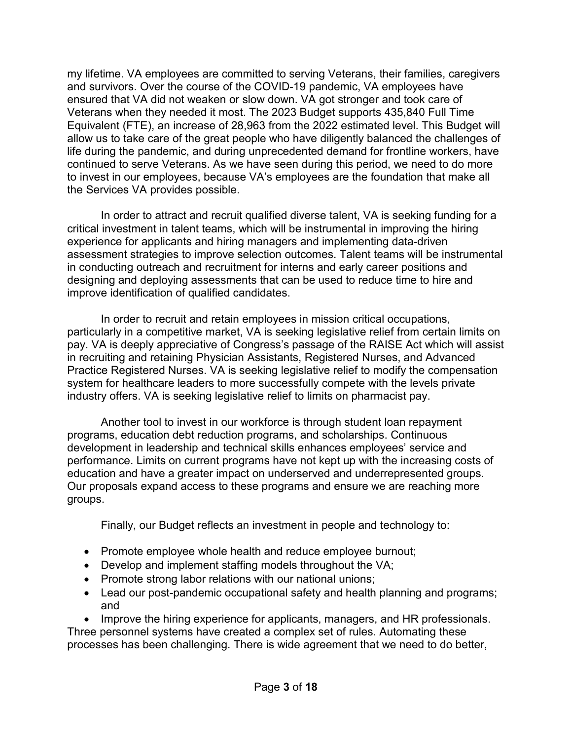my lifetime. VA employees are committed to serving Veterans, their families, caregivers and survivors. Over the course of the COVID-19 pandemic, VA employees have ensured that VA did not weaken or slow down. VA got stronger and took care of Veterans when they needed it most. The 2023 Budget supports 435,840 Full Time Equivalent (FTE), an increase of 28,963 from the 2022 estimated level. This Budget will allow us to take care of the great people who have diligently balanced the challenges of life during the pandemic, and during unprecedented demand for frontline workers, have continued to serve Veterans. As we have seen during this period, we need to do more to invest in our employees, because VA's employees are the foundation that make all the Services VA provides possible.

In order to attract and recruit qualified diverse talent, VA is seeking funding for a critical investment in talent teams, which will be instrumental in improving the hiring experience for applicants and hiring managers and implementing data-driven assessment strategies to improve selection outcomes. Talent teams will be instrumental in conducting outreach and recruitment for interns and early career positions and designing and deploying assessments that can be used to reduce time to hire and improve identification of qualified candidates.

In order to recruit and retain employees in mission critical occupations, particularly in a competitive market, VA is seeking legislative relief from certain limits on pay. VA is deeply appreciative of Congress's passage of the RAISE Act which will assist in recruiting and retaining Physician Assistants, Registered Nurses, and Advanced Practice Registered Nurses. VA is seeking legislative relief to modify the compensation system for healthcare leaders to more successfully compete with the levels private industry offers. VA is seeking legislative relief to limits on pharmacist pay.

Another tool to invest in our workforce is through student loan repayment programs, education debt reduction programs, and scholarships. Continuous development in leadership and technical skills enhances employees' service and performance. Limits on current programs have not kept up with the increasing costs of education and have a greater impact on underserved and underrepresented groups. Our proposals expand access to these programs and ensure we are reaching more groups.

Finally, our Budget reflects an investment in people and technology to:

- Promote employee whole health and reduce employee burnout;
- Develop and implement staffing models throughout the VA;
- Promote strong labor relations with our national unions;
- Lead our post-pandemic occupational safety and health planning and programs; and

• Improve the hiring experience for applicants, managers, and HR professionals. Three personnel systems have created a complex set of rules. Automating these processes has been challenging. There is wide agreement that we need to do better,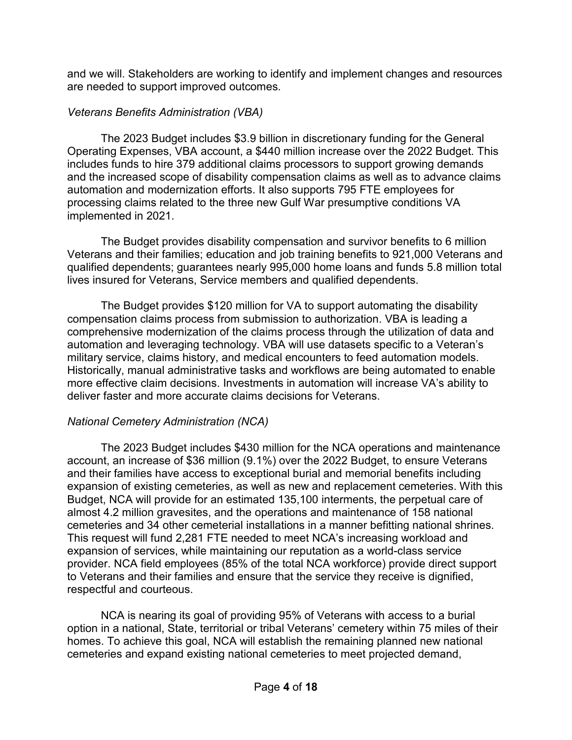and we will. Stakeholders are working to identify and implement changes and resources are needed to support improved outcomes.

# *Veterans Benefits Administration (VBA)*

The 2023 Budget includes \$3.9 billion in discretionary funding for the General Operating Expenses, VBA account, a \$440 million increase over the 2022 Budget. This includes funds to hire 379 additional claims processors to support growing demands and the increased scope of disability compensation claims as well as to advance claims automation and modernization efforts. It also supports 795 FTE employees for processing claims related to the three new Gulf War presumptive conditions VA implemented in 2021.

The Budget provides disability compensation and survivor benefits to 6 million Veterans and their families; education and job training benefits to 921,000 Veterans and qualified dependents; guarantees nearly 995,000 home loans and funds 5.8 million total lives insured for Veterans, Service members and qualified dependents.

The Budget provides \$120 million for VA to support automating the disability compensation claims process from submission to authorization. VBA is leading a comprehensive modernization of the claims process through the utilization of data and automation and leveraging technology. VBA will use datasets specific to a Veteran's military service, claims history, and medical encounters to feed automation models. Historically, manual administrative tasks and workflows are being automated to enable more effective claim decisions. Investments in automation will increase VA's ability to deliver faster and more accurate claims decisions for Veterans.

# *National Cemetery Administration (NCA)*

The 2023 Budget includes \$430 million for the NCA operations and maintenance account, an increase of \$36 million (9.1%) over the 2022 Budget, to ensure Veterans and their families have access to exceptional burial and memorial benefits including expansion of existing cemeteries, as well as new and replacement cemeteries. With this Budget, NCA will provide for an estimated 135,100 interments, the perpetual care of almost 4.2 million gravesites, and the operations and maintenance of 158 national cemeteries and 34 other cemeterial installations in a manner befitting national shrines. This request will fund 2,281 FTE needed to meet NCA's increasing workload and expansion of services, while maintaining our reputation as a world-class service provider. NCA field employees (85% of the total NCA workforce) provide direct support to Veterans and their families and ensure that the service they receive is dignified, respectful and courteous.

NCA is nearing its goal of providing 95% of Veterans with access to a burial option in a national, State, territorial or tribal Veterans' cemetery within 75 miles of their homes. To achieve this goal, NCA will establish the remaining planned new national cemeteries and expand existing national cemeteries to meet projected demand,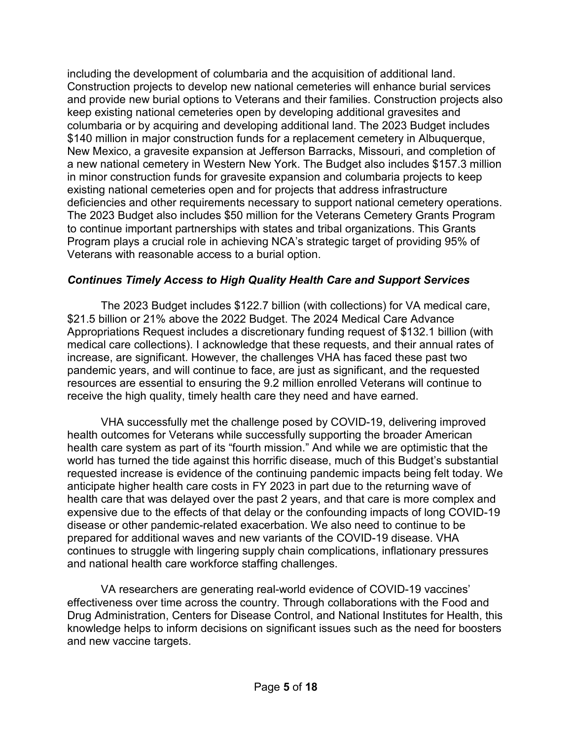including the development of columbaria and the acquisition of additional land. Construction projects to develop new national cemeteries will enhance burial services and provide new burial options to Veterans and their families. Construction projects also keep existing national cemeteries open by developing additional gravesites and columbaria or by acquiring and developing additional land. The 2023 Budget includes \$140 million in major construction funds for a replacement cemetery in Albuquerque, New Mexico, a gravesite expansion at Jefferson Barracks, Missouri, and completion of a new national cemetery in Western New York. The Budget also includes \$157.3 million in minor construction funds for gravesite expansion and columbaria projects to keep existing national cemeteries open and for projects that address infrastructure deficiencies and other requirements necessary to support national cemetery operations. The 2023 Budget also includes \$50 million for the Veterans Cemetery Grants Program to continue important partnerships with states and tribal organizations. This Grants Program plays a crucial role in achieving NCA's strategic target of providing 95% of Veterans with reasonable access to a burial option.

# *Continues Timely Access to High Quality Health Care and Support Services*

The 2023 Budget includes \$122.7 billion (with collections) for VA medical care, \$21.5 billion or 21% above the 2022 Budget. The 2024 Medical Care Advance Appropriations Request includes a discretionary funding request of \$132.1 billion (with medical care collections). I acknowledge that these requests, and their annual rates of increase, are significant. However, the challenges VHA has faced these past two pandemic years, and will continue to face, are just as significant, and the requested resources are essential to ensuring the 9.2 million enrolled Veterans will continue to receive the high quality, timely health care they need and have earned.

VHA successfully met the challenge posed by COVID-19, delivering improved health outcomes for Veterans while successfully supporting the broader American health care system as part of its "fourth mission." And while we are optimistic that the world has turned the tide against this horrific disease, much of this Budget's substantial requested increase is evidence of the continuing pandemic impacts being felt today. We anticipate higher health care costs in FY 2023 in part due to the returning wave of health care that was delayed over the past 2 years, and that care is more complex and expensive due to the effects of that delay or the confounding impacts of long COVID-19 disease or other pandemic-related exacerbation. We also need to continue to be prepared for additional waves and new variants of the COVID-19 disease. VHA continues to struggle with lingering supply chain complications, inflationary pressures and national health care workforce staffing challenges.

VA researchers are generating real-world evidence of COVID-19 vaccines' effectiveness over time across the country. Through collaborations with the Food and Drug Administration, Centers for Disease Control, and National Institutes for Health, this knowledge helps to inform decisions on significant issues such as the need for boosters and new vaccine targets.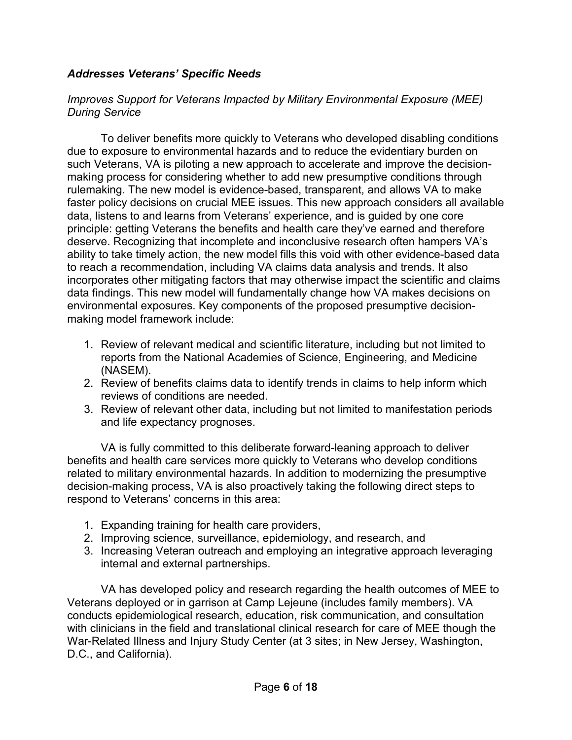## *Addresses Veterans' Specific Needs*

### *Improves Support for Veterans Impacted by Military Environmental Exposure (MEE) During Service*

To deliver benefits more quickly to Veterans who developed disabling conditions due to exposure to environmental hazards and to reduce the evidentiary burden on such Veterans, VA is piloting a new approach to accelerate and improve the decisionmaking process for considering whether to add new presumptive conditions through rulemaking. The new model is evidence-based, transparent, and allows VA to make faster policy decisions on crucial MEE issues. This new approach considers all available data, listens to and learns from Veterans' experience, and is guided by one core principle: getting Veterans the benefits and health care they've earned and therefore deserve. Recognizing that incomplete and inconclusive research often hampers VA's ability to take timely action, the new model fills this void with other evidence-based data to reach a recommendation, including VA claims data analysis and trends. It also incorporates other mitigating factors that may otherwise impact the scientific and claims data findings. This new model will fundamentally change how VA makes decisions on environmental exposures. Key components of the proposed presumptive decisionmaking model framework include:

- 1. Review of relevant medical and scientific literature, including but not limited to reports from the National Academies of Science, Engineering, and Medicine (NASEM).
- 2. Review of benefits claims data to identify trends in claims to help inform which reviews of conditions are needed.
- 3. Review of relevant other data, including but not limited to manifestation periods and life expectancy prognoses.

VA is fully committed to this deliberate forward-leaning approach to deliver benefits and health care services more quickly to Veterans who develop conditions related to military environmental hazards. In addition to modernizing the presumptive decision-making process, VA is also proactively taking the following direct steps to respond to Veterans' concerns in this area:

- 1. Expanding training for health care providers,
- 2. Improving science, surveillance, epidemiology, and research, and
- 3. Increasing Veteran outreach and employing an integrative approach leveraging internal and external partnerships.

VA has developed policy and research regarding the health outcomes of MEE to Veterans deployed or in garrison at Camp Lejeune (includes family members). VA conducts epidemiological research, education, risk communication, and consultation with clinicians in the field and translational clinical research for care of MEE though the War-Related Illness and Injury Study Center (at 3 sites; in New Jersey, Washington, D.C., and California).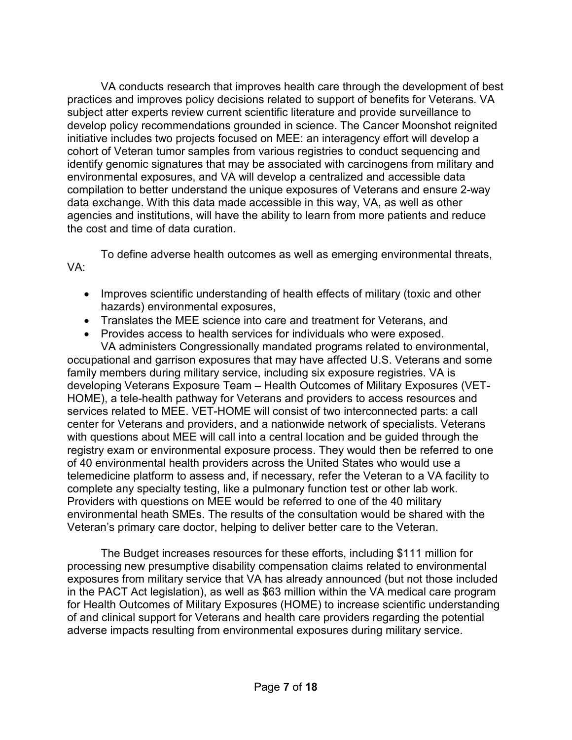VA conducts research that improves health care through the development of best practices and improves policy decisions related to support of benefits for Veterans. VA subject atter experts review current scientific literature and provide surveillance to develop policy recommendations grounded in science. The Cancer Moonshot reignited initiative includes two projects focused on MEE: an interagency effort will develop a cohort of Veteran tumor samples from various registries to conduct sequencing and identify genomic signatures that may be associated with carcinogens from military and environmental exposures, and VA will develop a centralized and accessible data compilation to better understand the unique exposures of Veterans and ensure 2-way data exchange. With this data made accessible in this way, VA, as well as other agencies and institutions, will have the ability to learn from more patients and reduce the cost and time of data curation.

To define adverse health outcomes as well as emerging environmental threats, VA:

- Improves scientific understanding of health effects of military (toxic and other hazards) environmental exposures,
- Translates the MEE science into care and treatment for Veterans, and
- Provides access to health services for individuals who were exposed. VA administers Congressionally mandated programs related to environmental,

occupational and garrison exposures that may have affected U.S. Veterans and some family members during military service, including six exposure registries. VA is developing Veterans Exposure Team – Health Outcomes of Military Exposures (VET-HOME), a tele-health pathway for Veterans and providers to access resources and services related to MEE. VET-HOME will consist of two interconnected parts: a call center for Veterans and providers, and a nationwide network of specialists. Veterans with questions about MEE will call into a central location and be guided through the registry exam or environmental exposure process. They would then be referred to one of 40 environmental health providers across the United States who would use a telemedicine platform to assess and, if necessary, refer the Veteran to a VA facility to complete any specialty testing, like a pulmonary function test or other lab work. Providers with questions on MEE would be referred to one of the 40 military environmental heath SMEs. The results of the consultation would be shared with the Veteran's primary care doctor, helping to deliver better care to the Veteran.

The Budget increases resources for these efforts, including \$111 million for processing new presumptive disability compensation claims related to environmental exposures from military service that VA has already announced (but not those included in the PACT Act legislation), as well as \$63 million within the VA medical care program for Health Outcomes of Military Exposures (HOME) to increase scientific understanding of and clinical support for Veterans and health care providers regarding the potential adverse impacts resulting from environmental exposures during military service.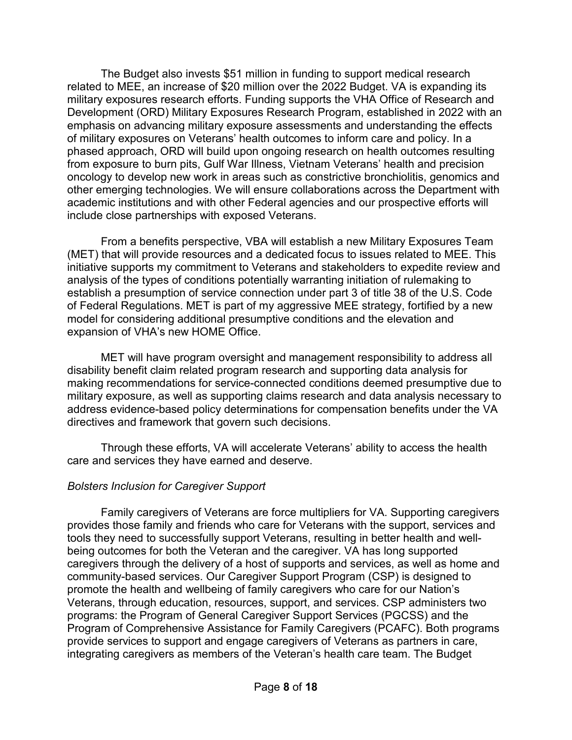The Budget also invests \$51 million in funding to support medical research related to MEE, an increase of \$20 million over the 2022 Budget. VA is expanding its military exposures research efforts. Funding supports the VHA Office of Research and Development (ORD) Military Exposures Research Program, established in 2022 with an emphasis on advancing military exposure assessments and understanding the effects of military exposures on Veterans' health outcomes to inform care and policy. In a phased approach, ORD will build upon ongoing research on health outcomes resulting from exposure to burn pits, Gulf War Illness, Vietnam Veterans' health and precision oncology to develop new work in areas such as constrictive bronchiolitis, genomics and other emerging technologies. We will ensure collaborations across the Department with academic institutions and with other Federal agencies and our prospective efforts will include close partnerships with exposed Veterans.

From a benefits perspective, VBA will establish a new Military Exposures Team (MET) that will provide resources and a dedicated focus to issues related to MEE. This initiative supports my commitment to Veterans and stakeholders to expedite review and analysis of the types of conditions potentially warranting initiation of rulemaking to establish a presumption of service connection under part 3 of title 38 of the U.S. Code of Federal Regulations. MET is part of my aggressive MEE strategy, fortified by a new model for considering additional presumptive conditions and the elevation and expansion of VHA's new HOME Office.

MET will have program oversight and management responsibility to address all disability benefit claim related program research and supporting data analysis for making recommendations for service-connected conditions deemed presumptive due to military exposure, as well as supporting claims research and data analysis necessary to address evidence-based policy determinations for compensation benefits under the VA directives and framework that govern such decisions.

Through these efforts, VA will accelerate Veterans' ability to access the health care and services they have earned and deserve.

## *Bolsters Inclusion for Caregiver Support*

Family caregivers of Veterans are force multipliers for VA. Supporting caregivers provides those family and friends who care for Veterans with the support, services and tools they need to successfully support Veterans, resulting in better health and wellbeing outcomes for both the Veteran and the caregiver. VA has long supported caregivers through the delivery of a host of supports and services, as well as home and community-based services. Our Caregiver Support Program (CSP) is designed to promote the health and wellbeing of family caregivers who care for our Nation's Veterans, through education, resources, support, and services. CSP administers two programs: the Program of General Caregiver Support Services (PGCSS) and the Program of Comprehensive Assistance for Family Caregivers (PCAFC). Both programs provide services to support and engage caregivers of Veterans as partners in care, integrating caregivers as members of the Veteran's health care team. The Budget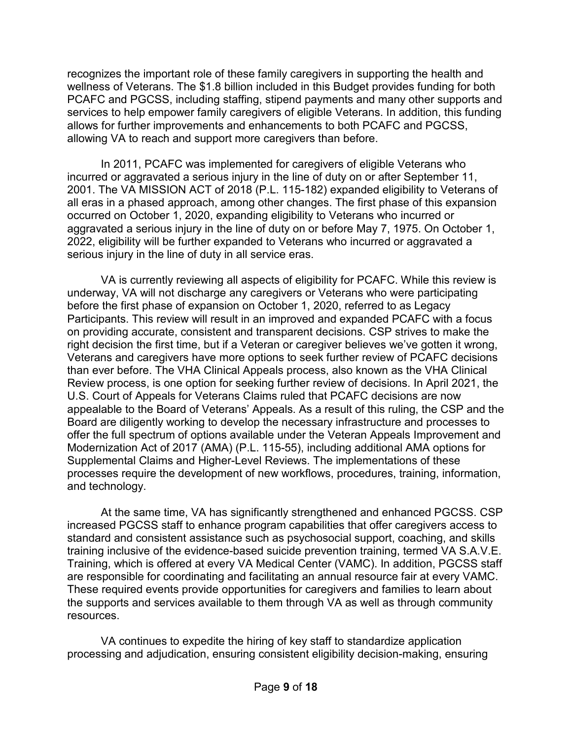recognizes the important role of these family caregivers in supporting the health and wellness of Veterans. The \$1.8 billion included in this Budget provides funding for both PCAFC and PGCSS, including staffing, stipend payments and many other supports and services to help empower family caregivers of eligible Veterans. In addition, this funding allows for further improvements and enhancements to both PCAFC and PGCSS, allowing VA to reach and support more caregivers than before.

In 2011, PCAFC was implemented for caregivers of eligible Veterans who incurred or aggravated a serious injury in the line of duty on or after September 11, 2001. The VA MISSION ACT of 2018 (P.L. 115-182) expanded eligibility to Veterans of all eras in a phased approach, among other changes. The first phase of this expansion occurred on October 1, 2020, expanding eligibility to Veterans who incurred or aggravated a serious injury in the line of duty on or before May 7, 1975. On October 1, 2022, eligibility will be further expanded to Veterans who incurred or aggravated a serious injury in the line of duty in all service eras.

VA is currently reviewing all aspects of eligibility for PCAFC. While this review is underway, VA will not discharge any caregivers or Veterans who were participating before the first phase of expansion on October 1, 2020, referred to as Legacy Participants. This review will result in an improved and expanded PCAFC with a focus on providing accurate, consistent and transparent decisions. CSP strives to make the right decision the first time, but if a Veteran or caregiver believes we've gotten it wrong, Veterans and caregivers have more options to seek further review of PCAFC decisions than ever before. The VHA Clinical Appeals process, also known as the VHA Clinical Review process, is one option for seeking further review of decisions. In April 2021, the U.S. Court of Appeals for Veterans Claims ruled that PCAFC decisions are now appealable to the Board of Veterans' Appeals. As a result of this ruling, the CSP and the Board are diligently working to develop the necessary infrastructure and processes to offer the full spectrum of options available under the Veteran Appeals Improvement and Modernization Act of 2017 (AMA) (P.L. 115-55), including additional AMA options for Supplemental Claims and Higher-Level Reviews. The implementations of these processes require the development of new workflows, procedures, training, information, and technology.

At the same time, VA has significantly strengthened and enhanced PGCSS. CSP increased PGCSS staff to enhance program capabilities that offer caregivers access to standard and consistent assistance such as psychosocial support, coaching, and skills training inclusive of the evidence-based suicide prevention training, termed VA S.A.V.E. Training, which is offered at every VA Medical Center (VAMC). In addition, PGCSS staff are responsible for coordinating and facilitating an annual resource fair at every VAMC. These required events provide opportunities for caregivers and families to learn about the supports and services available to them through VA as well as through community resources.

VA continues to expedite the hiring of key staff to standardize application processing and adjudication, ensuring consistent eligibility decision-making, ensuring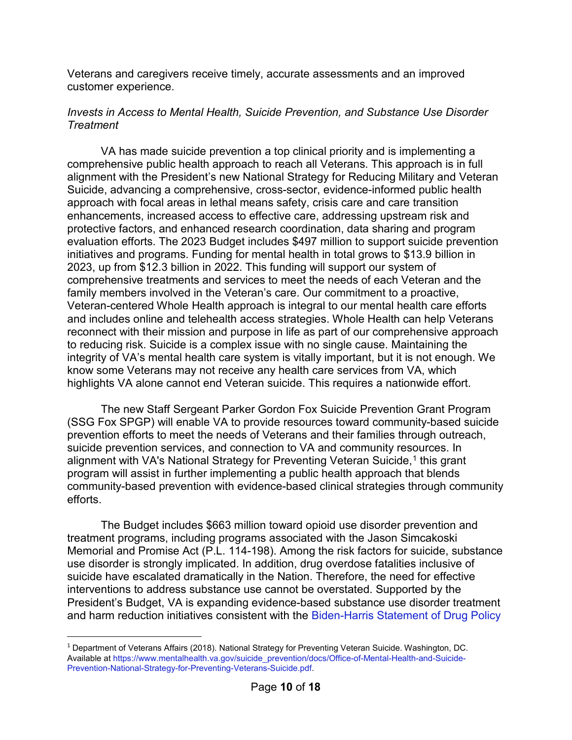Veterans and caregivers receive timely, accurate assessments and an improved customer experience.

### *Invests in Access to Mental Health, Suicide Prevention, and Substance Use Disorder Treatment*

VA has made suicide prevention a top clinical priority and is implementing a comprehensive public health approach to reach all Veterans. This approach is in full alignment with the President's new National Strategy for Reducing Military and Veteran Suicide, advancing a comprehensive, cross-sector, evidence-informed public health approach with focal areas in lethal means safety, crisis care and care transition enhancements, increased access to effective care, addressing upstream risk and protective factors, and enhanced research coordination, data sharing and program evaluation efforts. The 2023 Budget includes \$497 million to support suicide prevention initiatives and programs. Funding for mental health in total grows to \$13.9 billion in 2023, up from \$12.3 billion in 2022. This funding will support our system of comprehensive treatments and services to meet the needs of each Veteran and the family members involved in the Veteran's care. Our commitment to a proactive, Veteran-centered Whole Health approach is integral to our mental health care efforts and includes online and telehealth access strategies. Whole Health can help Veterans reconnect with their mission and purpose in life as part of our comprehensive approach to reducing risk. Suicide is a complex issue with no single cause. Maintaining the integrity of VA's mental health care system is vitally important, but it is not enough. We know some Veterans may not receive any health care services from VA, which highlights VA alone cannot end Veteran suicide. This requires a nationwide effort.

The new Staff Sergeant Parker Gordon Fox Suicide Prevention Grant Program (SSG Fox SPGP) will enable VA to provide resources toward community-based suicide prevention efforts to meet the needs of Veterans and their families through outreach, suicide prevention services, and connection to VA and community resources. In alignment with VA's National Strategy for Preventing Veteran Suicide, [1](#page-9-0) this grant program will assist in further implementing a public health approach that blends community-based prevention with evidence-based clinical strategies through community efforts.

The Budget includes \$663 million toward opioid use disorder prevention and treatment programs, including programs associated with the Jason Simcakoski Memorial and Promise Act (P.L. 114-198). Among the risk factors for suicide, substance use disorder is strongly implicated. In addition, drug overdose fatalities inclusive of suicide have escalated dramatically in the Nation. Therefore, the need for effective interventions to address substance use cannot be overstated. Supported by the President's Budget, VA is expanding evidence-based substance use disorder treatment and harm reduction initiatives consistent with the [Biden-Harris Statement of Drug Policy](https://www.whitehouse.gov/wp-content/uploads/2021/03/BidenHarris-Statement-of-Drug-Policy-Priorities-April-1.pdf) 

 $\overline{a}$ 

<span id="page-9-0"></span><sup>1</sup> Department of Veterans Affairs (2018). National Strategy for Preventing Veteran Suicide. Washington, DC. Available at [https://www.mentalhealth.va.gov/suicide\\_prevention/docs/Office-of-Mental-Health-and-Suicide-](https://www.mentalhealth.va.gov/suicide_prevention/docs/Office-of-Mental-Health-and-Suicide-Prevention-National-Strategy-for-Preventing-Veterans-Suicide.pdf)[Prevention-National-Strategy-for-Preventing-Veterans-Suicide.pdf.](https://www.mentalhealth.va.gov/suicide_prevention/docs/Office-of-Mental-Health-and-Suicide-Prevention-National-Strategy-for-Preventing-Veterans-Suicide.pdf)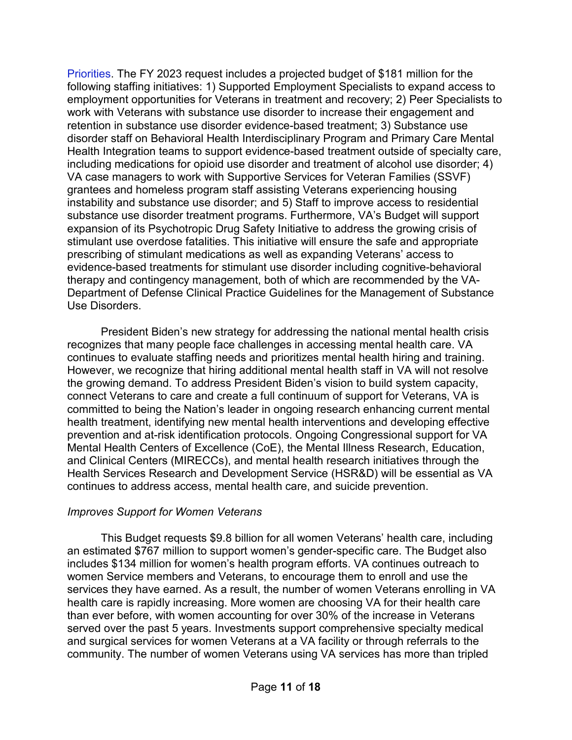[Priorities.](https://www.whitehouse.gov/wp-content/uploads/2021/03/BidenHarris-Statement-of-Drug-Policy-Priorities-April-1.pdf) The FY 2023 request includes a projected budget of \$181 million for the following staffing initiatives: 1) Supported Employment Specialists to expand access to employment opportunities for Veterans in treatment and recovery; 2) Peer Specialists to work with Veterans with substance use disorder to increase their engagement and retention in substance use disorder evidence-based treatment; 3) Substance use disorder staff on Behavioral Health Interdisciplinary Program and Primary Care Mental Health Integration teams to support evidence-based treatment outside of specialty care, including medications for opioid use disorder and treatment of alcohol use disorder; 4) VA case managers to work with Supportive Services for Veteran Families (SSVF) grantees and homeless program staff assisting Veterans experiencing housing instability and substance use disorder; and 5) Staff to improve access to residential substance use disorder treatment programs. Furthermore, VA's Budget will support expansion of its Psychotropic Drug Safety Initiative to address the growing crisis of stimulant use overdose fatalities. This initiative will ensure the safe and appropriate prescribing of stimulant medications as well as expanding Veterans' access to evidence-based treatments for stimulant use disorder including cognitive-behavioral therapy and contingency management, both of which are recommended by the VA-Department of Defense Clinical Practice Guidelines for the Management of Substance Use Disorders.

President Biden's new strategy for addressing the national mental health crisis recognizes that many people face challenges in accessing mental health care. VA continues to evaluate staffing needs and prioritizes mental health hiring and training. However, we recognize that hiring additional mental health staff in VA will not resolve the growing demand. To address President Biden's vision to build system capacity, connect Veterans to care and create a full continuum of support for Veterans, VA is committed to being the Nation's leader in ongoing research enhancing current mental health treatment, identifying new mental health interventions and developing effective prevention and at-risk identification protocols. Ongoing Congressional support for VA Mental Health Centers of Excellence (CoE), the Mental Illness Research, Education, and Clinical Centers (MIRECCs), and mental health research initiatives through the Health Services Research and Development Service (HSR&D) will be essential as VA continues to address access, mental health care, and suicide prevention.

### *Improves Support for Women Veterans*

This Budget requests \$9.8 billion for all women Veterans' health care, including an estimated \$767 million to support women's gender-specific care. The Budget also includes \$134 million for women's health program efforts. VA continues outreach to women Service members and Veterans, to encourage them to enroll and use the services they have earned. As a result, the number of women Veterans enrolling in VA health care is rapidly increasing. More women are choosing VA for their health care than ever before, with women accounting for over 30% of the increase in Veterans served over the past 5 years. Investments support comprehensive specialty medical and surgical services for women Veterans at a VA facility or through referrals to the community. The number of women Veterans using VA services has more than tripled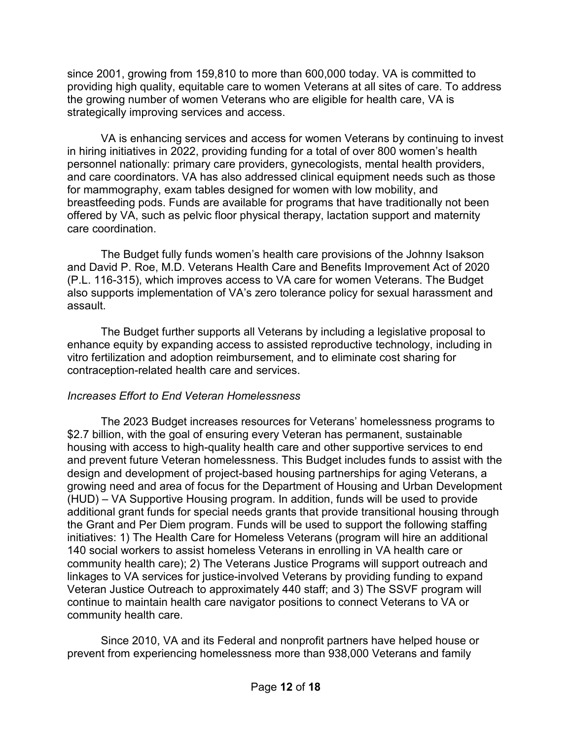since 2001, growing from 159,810 to more than 600,000 today. VA is committed to providing high quality, equitable care to women Veterans at all sites of care. To address the growing number of women Veterans who are eligible for health care, VA is strategically improving services and access.

VA is enhancing services and access for women Veterans by continuing to invest in hiring initiatives in 2022, providing funding for a total of over 800 women's health personnel nationally: primary care providers, gynecologists, mental health providers, and care coordinators. VA has also addressed clinical equipment needs such as those for mammography, exam tables designed for women with low mobility, and breastfeeding pods. Funds are available for programs that have traditionally not been offered by VA, such as pelvic floor physical therapy, lactation support and maternity care coordination.

The Budget fully funds women's health care provisions of the Johnny Isakson and David P. Roe, M.D. Veterans Health Care and Benefits Improvement Act of 2020 (P.L. 116-315), which improves access to VA care for women Veterans. The Budget also supports implementation of VA's zero tolerance policy for sexual harassment and assault.

The Budget further supports all Veterans by including a legislative proposal to enhance equity by expanding access to assisted reproductive technology, including in vitro fertilization and adoption reimbursement, and to eliminate cost sharing for contraception-related health care and services.

# *Increases Effort to End Veteran Homelessness*

The 2023 Budget increases resources for Veterans' homelessness programs to \$2.7 billion, with the goal of ensuring every Veteran has permanent, sustainable housing with access to high-quality health care and other supportive services to end and prevent future Veteran homelessness. This Budget includes funds to assist with the design and development of project-based housing partnerships for aging Veterans, a growing need and area of focus for the Department of Housing and Urban Development (HUD) – VA Supportive Housing program. In addition, funds will be used to provide additional grant funds for special needs grants that provide transitional housing through the Grant and Per Diem program. Funds will be used to support the following staffing initiatives: 1) The Health Care for Homeless Veterans (program will hire an additional 140 social workers to assist homeless Veterans in enrolling in VA health care or community health care); 2) The Veterans Justice Programs will support outreach and linkages to VA services for justice-involved Veterans by providing funding to expand Veteran Justice Outreach to approximately 440 staff; and 3) The SSVF program will continue to maintain health care navigator positions to connect Veterans to VA or community health care.

Since 2010, VA and its Federal and nonprofit partners have helped house or prevent from experiencing homelessness more than 938,000 Veterans and family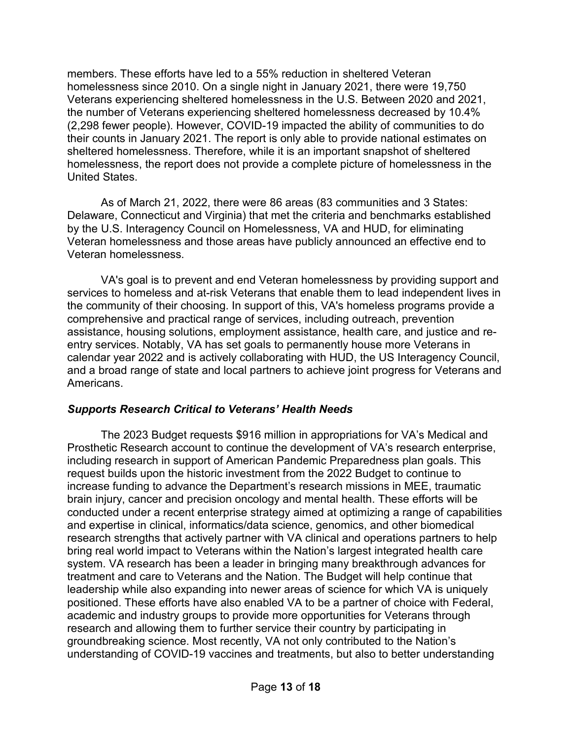members. These efforts have led to a 55% reduction in sheltered Veteran homelessness since 2010. On a single night in January 2021, there were 19,750 Veterans experiencing sheltered homelessness in the U.S. Between 2020 and 2021, the number of Veterans experiencing sheltered homelessness decreased by 10.4% (2,298 fewer people). However, COVID-19 impacted the ability of communities to do their counts in January 2021. The report is only able to provide national estimates on sheltered homelessness. Therefore, while it is an important snapshot of sheltered homelessness, the report does not provide a complete picture of homelessness in the United States.

As of March 21, 2022, there were 86 areas (83 communities and 3 States: Delaware, Connecticut and Virginia) that met the criteria and benchmarks established by the U.S. Interagency Council on Homelessness, VA and HUD, for eliminating Veteran homelessness and those areas have publicly announced an effective end to Veteran homelessness.

VA's goal is to prevent and end Veteran homelessness by providing support and services to homeless and at-risk Veterans that enable them to lead independent lives in the community of their choosing. In support of this, VA's homeless programs provide a comprehensive and practical range of services, including outreach, prevention assistance, housing solutions, employment assistance, health care, and justice and reentry services. Notably, VA has set goals to permanently house more Veterans in calendar year 2022 and is actively collaborating with HUD, the US Interagency Council, and a broad range of state and local partners to achieve joint progress for Veterans and **Americans** 

## *Supports Research Critical to Veterans' Health Needs*

The 2023 Budget requests \$916 million in appropriations for VA's Medical and Prosthetic Research account to continue the development of VA's research enterprise, including research in support of American Pandemic Preparedness plan goals. This request builds upon the historic investment from the 2022 Budget to continue to increase funding to advance the Department's research missions in MEE, traumatic brain injury, cancer and precision oncology and mental health. These efforts will be conducted under a recent enterprise strategy aimed at optimizing a range of capabilities and expertise in clinical, informatics/data science, genomics, and other biomedical research strengths that actively partner with VA clinical and operations partners to help bring real world impact to Veterans within the Nation's largest integrated health care system. VA research has been a leader in bringing many breakthrough advances for treatment and care to Veterans and the Nation. The Budget will help continue that leadership while also expanding into newer areas of science for which VA is uniquely positioned. These efforts have also enabled VA to be a partner of choice with Federal, academic and industry groups to provide more opportunities for Veterans through research and allowing them to further service their country by participating in groundbreaking science. Most recently, VA not only contributed to the Nation's understanding of COVID-19 vaccines and treatments, but also to better understanding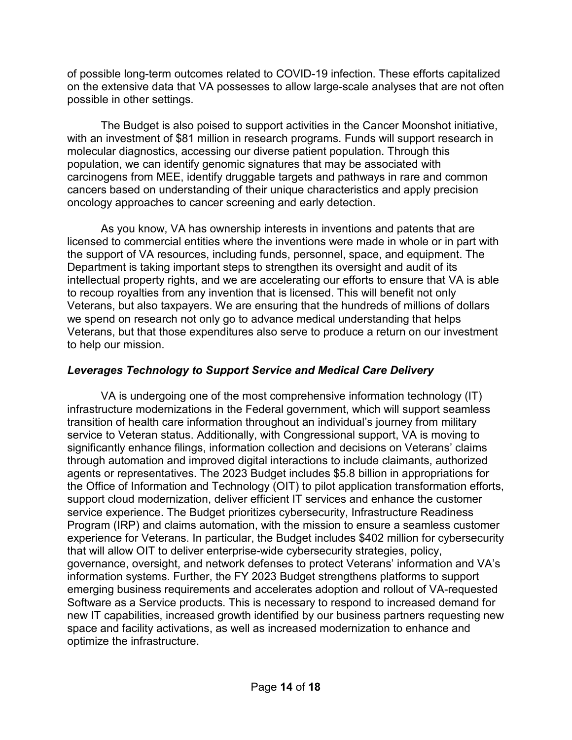of possible long-term outcomes related to COVID-19 infection. These efforts capitalized on the extensive data that VA possesses to allow large-scale analyses that are not often possible in other settings.

The Budget is also poised to support activities in the Cancer Moonshot initiative, with an investment of \$81 million in research programs. Funds will support research in molecular diagnostics, accessing our diverse patient population. Through this population, we can identify genomic signatures that may be associated with carcinogens from MEE, identify druggable targets and pathways in rare and common cancers based on understanding of their unique characteristics and apply precision oncology approaches to cancer screening and early detection.

As you know, VA has ownership interests in inventions and patents that are licensed to commercial entities where the inventions were made in whole or in part with the support of VA resources, including funds, personnel, space, and equipment. The Department is taking important steps to strengthen its oversight and audit of its intellectual property rights, and we are accelerating our efforts to ensure that VA is able to recoup royalties from any invention that is licensed. This will benefit not only Veterans, but also taxpayers. We are ensuring that the hundreds of millions of dollars we spend on research not only go to advance medical understanding that helps Veterans, but that those expenditures also serve to produce a return on our investment to help our mission.

# *Leverages Technology to Support Service and Medical Care Delivery*

VA is undergoing one of the most comprehensive information technology (IT) infrastructure modernizations in the Federal government, which will support seamless transition of health care information throughout an individual's journey from military service to Veteran status. Additionally, with Congressional support, VA is moving to significantly enhance filings, information collection and decisions on Veterans' claims through automation and improved digital interactions to include claimants, authorized agents or representatives. The 2023 Budget includes \$5.8 billion in appropriations for the Office of Information and Technology (OIT) to pilot application transformation efforts, support cloud modernization, deliver efficient IT services and enhance the customer service experience. The Budget prioritizes cybersecurity, Infrastructure Readiness Program (IRP) and claims automation, with the mission to ensure a seamless customer experience for Veterans. In particular, the Budget includes \$402 million for cybersecurity that will allow OIT to deliver enterprise-wide cybersecurity strategies, policy, governance, oversight, and network defenses to protect Veterans' information and VA's information systems. Further, the FY 2023 Budget strengthens platforms to support emerging business requirements and accelerates adoption and rollout of VA-requested Software as a Service products. This is necessary to respond to increased demand for new IT capabilities, increased growth identified by our business partners requesting new space and facility activations, as well as increased modernization to enhance and optimize the infrastructure.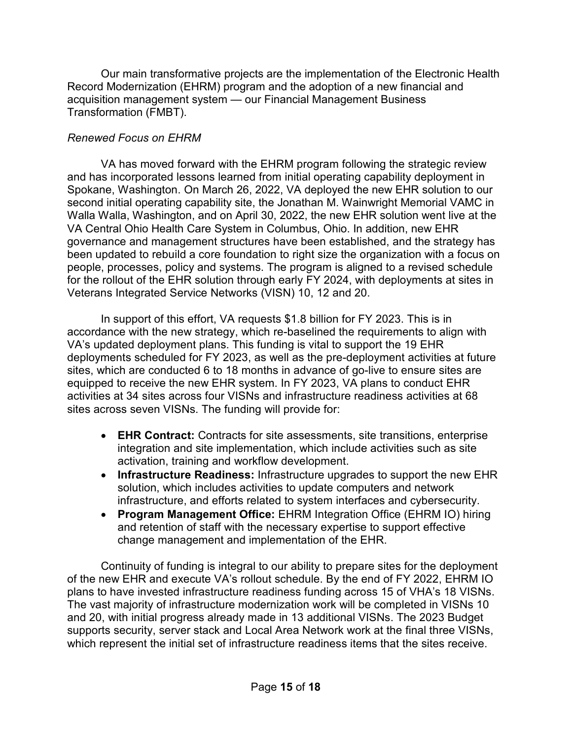Our main transformative projects are the implementation of the Electronic Health Record Modernization (EHRM) program and the adoption of a new financial and acquisition management system — our Financial Management Business Transformation (FMBT).

# *Renewed Focus on EHRM*

VA has moved forward with the EHRM program following the strategic review and has incorporated lessons learned from initial operating capability deployment in Spokane, Washington. On March 26, 2022, VA deployed the new EHR solution to our second initial operating capability site, the Jonathan M. Wainwright Memorial VAMC in Walla Walla, Washington, and on April 30, 2022, the new EHR solution went live at the VA Central Ohio Health Care System in Columbus, Ohio. In addition, new EHR governance and management structures have been established, and the strategy has been updated to rebuild a core foundation to right size the organization with a focus on people, processes, policy and systems. The program is aligned to a revised schedule for the rollout of the EHR solution through early FY 2024, with deployments at sites in Veterans Integrated Service Networks (VISN) 10, 12 and 20.

In support of this effort, VA requests \$1.8 billion for FY 2023. This is in accordance with the new strategy, which re-baselined the requirements to align with VA's updated deployment plans. This funding is vital to support the 19 EHR deployments scheduled for FY 2023, as well as the pre-deployment activities at future sites, which are conducted 6 to 18 months in advance of go-live to ensure sites are equipped to receive the new EHR system. In FY 2023, VA plans to conduct EHR activities at 34 sites across four VISNs and infrastructure readiness activities at 68 sites across seven VISNs. The funding will provide for:

- **EHR Contract:** Contracts for site assessments, site transitions, enterprise integration and site implementation, which include activities such as site activation, training and workflow development.
- **Infrastructure Readiness:** Infrastructure upgrades to support the new EHR solution, which includes activities to update computers and network infrastructure, and efforts related to system interfaces and cybersecurity.
- **Program Management Office:** EHRM Integration Office (EHRM IO) hiring and retention of staff with the necessary expertise to support effective change management and implementation of the EHR.

Continuity of funding is integral to our ability to prepare sites for the deployment of the new EHR and execute VA's rollout schedule. By the end of FY 2022, EHRM IO plans to have invested infrastructure readiness funding across 15 of VHA's 18 VISNs. The vast majority of infrastructure modernization work will be completed in VISNs 10 and 20, with initial progress already made in 13 additional VISNs. The 2023 Budget supports security, server stack and Local Area Network work at the final three VISNs, which represent the initial set of infrastructure readiness items that the sites receive.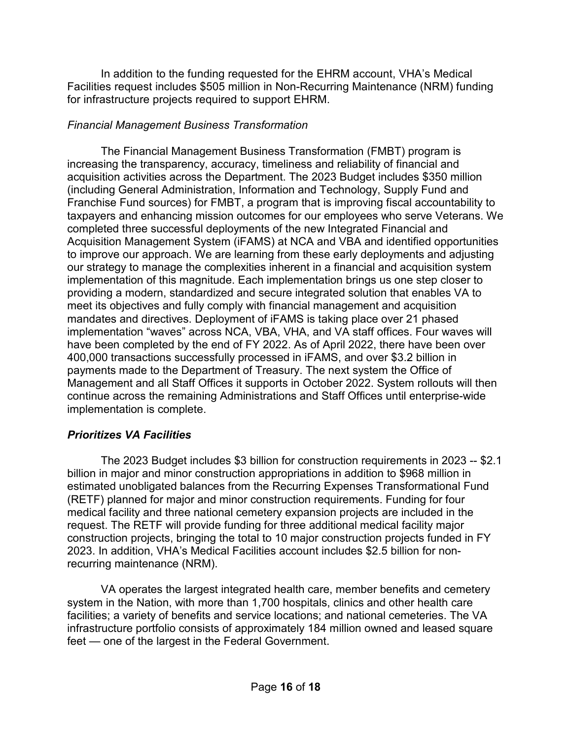In addition to the funding requested for the EHRM account, VHA's Medical Facilities request includes \$505 million in Non-Recurring Maintenance (NRM) funding for infrastructure projects required to support EHRM.

# *Financial Management Business Transformation*

The Financial Management Business Transformation (FMBT) program is increasing the transparency, accuracy, timeliness and reliability of financial and acquisition activities across the Department. The 2023 Budget includes \$350 million (including General Administration, Information and Technology, Supply Fund and Franchise Fund sources) for FMBT, a program that is improving fiscal accountability to taxpayers and enhancing mission outcomes for our employees who serve Veterans. We completed three successful deployments of the new Integrated Financial and Acquisition Management System (iFAMS) at NCA and VBA and identified opportunities to improve our approach. We are learning from these early deployments and adjusting our strategy to manage the complexities inherent in a financial and acquisition system implementation of this magnitude. Each implementation brings us one step closer to providing a modern, standardized and secure integrated solution that enables VA to meet its objectives and fully comply with financial management and acquisition mandates and directives. Deployment of iFAMS is taking place over 21 phased implementation "waves" across NCA, VBA, VHA, and VA staff offices. Four waves will have been completed by the end of FY 2022. As of April 2022, there have been over 400,000 transactions successfully processed in iFAMS, and over \$3.2 billion in payments made to the Department of Treasury. The next system the Office of Management and all Staff Offices it supports in October 2022. System rollouts will then continue across the remaining Administrations and Staff Offices until enterprise-wide implementation is complete.

# *Prioritizes VA Facilities*

The 2023 Budget includes \$3 billion for construction requirements in 2023 -- \$2.1 billion in major and minor construction appropriations in addition to \$968 million in estimated unobligated balances from the Recurring Expenses Transformational Fund (RETF) planned for major and minor construction requirements. Funding for four medical facility and three national cemetery expansion projects are included in the request. The RETF will provide funding for three additional medical facility major construction projects, bringing the total to 10 major construction projects funded in FY 2023. In addition, VHA's Medical Facilities account includes \$2.5 billion for nonrecurring maintenance (NRM).

VA operates the largest integrated health care, member benefits and cemetery system in the Nation, with more than 1,700 hospitals, clinics and other health care facilities; a variety of benefits and service locations; and national cemeteries. The VA infrastructure portfolio consists of approximately 184 million owned and leased square feet — one of the largest in the Federal Government.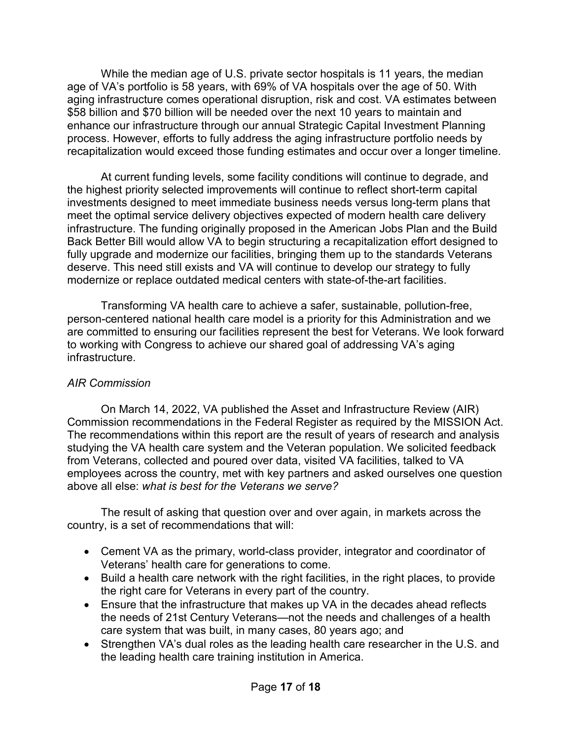While the median age of U.S. private sector hospitals is 11 years, the median age of VA's portfolio is 58 years, with 69% of VA hospitals over the age of 50. With aging infrastructure comes operational disruption, risk and cost. VA estimates between \$58 billion and \$70 billion will be needed over the next 10 years to maintain and enhance our infrastructure through our annual Strategic Capital Investment Planning process. However, efforts to fully address the aging infrastructure portfolio needs by recapitalization would exceed those funding estimates and occur over a longer timeline.

At current funding levels, some facility conditions will continue to degrade, and the highest priority selected improvements will continue to reflect short-term capital investments designed to meet immediate business needs versus long-term plans that meet the optimal service delivery objectives expected of modern health care delivery infrastructure. The funding originally proposed in the American Jobs Plan and the Build Back Better Bill would allow VA to begin structuring a recapitalization effort designed to fully upgrade and modernize our facilities, bringing them up to the standards Veterans deserve. This need still exists and VA will continue to develop our strategy to fully modernize or replace outdated medical centers with state-of-the-art facilities.

Transforming VA health care to achieve a safer, sustainable, pollution-free, person-centered national health care model is a priority for this Administration and we are committed to ensuring our facilities represent the best for Veterans. We look forward to working with Congress to achieve our shared goal of addressing VA's aging infrastructure.

## *AIR Commission*

On March 14, 2022, VA published the Asset and Infrastructure Review (AIR) Commission recommendations in the Federal Register as required by the MISSION Act. The recommendations within this report are the result of years of research and analysis studying the VA health care system and the Veteran population. We solicited feedback from Veterans, collected and poured over data, visited VA facilities, talked to VA employees across the country, met with key partners and asked ourselves one question above all else: *what is best for the Veterans we serve?*

The result of asking that question over and over again, in markets across the country, is a set of recommendations that will:

- Cement VA as the primary, world-class provider, integrator and coordinator of Veterans' health care for generations to come.
- Build a health care network with the right facilities, in the right places, to provide the right care for Veterans in every part of the country.
- Ensure that the infrastructure that makes up VA in the decades ahead reflects the needs of 21st Century Veterans—not the needs and challenges of a health care system that was built, in many cases, 80 years ago; and
- Strengthen VA's dual roles as the leading health care researcher in the U.S. and the leading health care training institution in America.